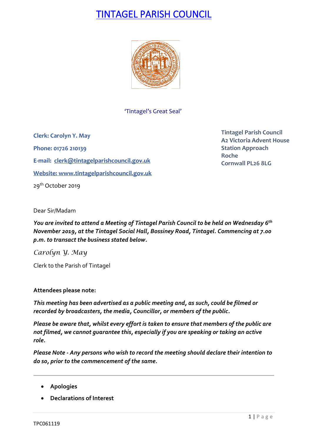# TINTAGEL PARISH COUNCIL



'Tintagel's Great Seal'

**Clerk: Carolyn Y. May Phone: 01726 210139 E-mail: [clerk@tintagelparishcouncil.gov.uk](mailto:clerk@tintagelparishcouncil.gov.uk) Website: [www.tintagelparishcouncil.gov.uk](http://www.tintagelparishcouncil.gov.uk/)** 29<sup>th</sup> October 2019

**Tintagel Parish Council A2 Victoria Advent House Station Approach Roche Cornwall PL26 8LG**

Dear Sir/Madam

*You are invited to attend a Meeting of Tintagel Parish Council to be held on Wednesday 6 th November 2019, at the Tintagel Social Hall, Bossiney Road, Tintagel. Commencing at 7.00 p.m. to transact the business stated below.*

*Carolyn Y. May*

Clerk to the Parish of Tintagel

# **Attendees please note:**

*This meeting has been advertised as a public meeting and, as such, could be filmed or recorded by broadcasters, the media, Councillor, or members of the public.*

*Please be aware that, whilst every effort is taken to ensure that members of the public are not filmed, we cannot guarantee this, especially if you are speaking or taking an active role.*

*Please Note - Any persons who wish to record the meeting should declare their intention to do so, prior to the commencement of the same.*

- **Apologies**
- **Declarations of Interest**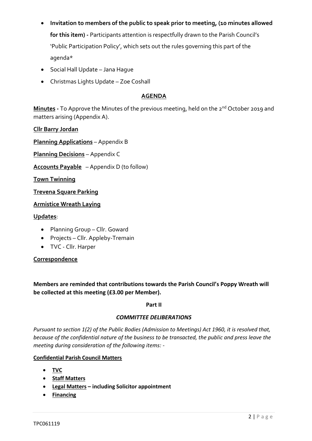- **Invitation to members of the public to speak prior to meeting, (10 minutes allowed for this item) -** Participants attention is respectfully drawn to the Parish Council's 'Public Participation Policy', which sets out the rules governing this part of the agenda\*
- Social Hall Update Jana Hague
- Christmas Lights Update Zoe Coshall

# **AGENDA**

**Minutes -** To Approve the Minutes of the previous meeting, held on the 2 nd October 2019 and matters arising (Appendix A).

**Cllr Barry Jordan**

**Planning Applications** – Appendix B

**Planning Decisions** – Appendix C

**Accounts Payable** – Appendix D (to follow)

**Town Twinning**

**Trevena Square Parking**

### **Armistice Wreath Laying**

#### **Updates**:

- Planning Group Cllr. Goward
- Projects Cllr. Appleby-Tremain
- TVC Cllr. Harper

# **Correspondence**

**Members are reminded that contributions towards the Parish Council's Poppy Wreath will be collected at this meeting (£3.00 per Member).**

#### **Part II**

#### *COMMITTEE DELIBERATIONS*

*Pursuant to section 1(2) of the Public Bodies (Admission to Meetings) Act 1960, it is resolved that, because of the confidential nature of the business to be transacted, the public and press leave the meeting during consideration of the following items: -*

# **Confidential Parish Council Matters**

- **TVC**
- **Staff Matters**
- **Legal Matters – including Solicitor appointment**
- **Financing**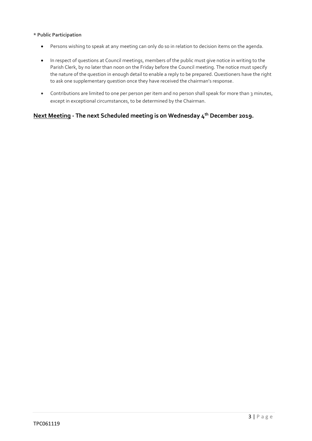#### **\* Public Participation**

- Persons wishing to speak at any meeting can only do so in relation to decision items on the agenda.
- In respect of questions at Council meetings, members of the public must give notice in writing to the Parish Clerk, by no later than noon on the Friday before the Council meeting. The notice must specify the nature of the question in enough detail to enable a reply to be prepared. Questioners have the right to ask one supplementary question once they have received the chairman's response.
- Contributions are limited to one per person per item and no person shall speak for more than 3 minutes, except in exceptional circumstances, to be determined by the Chairman.

# **Next Meeting - The next Scheduled meeting is on Wednesday 4 th December 2019.**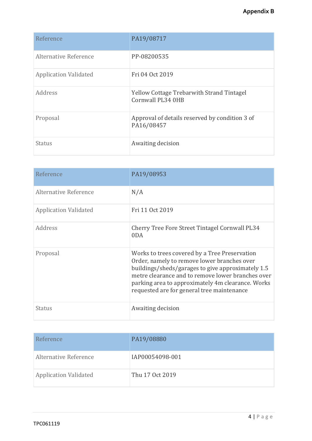| Reference                    | PA19/08717                                                            |
|------------------------------|-----------------------------------------------------------------------|
| Alternative Reference        | PP-08200535                                                           |
| <b>Application Validated</b> | Fri 04 Oct 2019                                                       |
| Address                      | <b>Yellow Cottage Trebarwith Strand Tintagel</b><br>Cornwall PL34 0HB |
| Proposal                     | Approval of details reserved by condition 3 of<br>PA16/08457          |
| <b>Status</b>                | Awaiting decision                                                     |

| Reference                    | PA19/08953                                                                                                                                                                                                                                                                                                |
|------------------------------|-----------------------------------------------------------------------------------------------------------------------------------------------------------------------------------------------------------------------------------------------------------------------------------------------------------|
| Alternative Reference        | N/A                                                                                                                                                                                                                                                                                                       |
| <b>Application Validated</b> | Fri 11 Oct 2019                                                                                                                                                                                                                                                                                           |
| Address                      | <b>Cherry Tree Fore Street Tintagel Cornwall PL34</b><br>0 <sub>D</sub> A                                                                                                                                                                                                                                 |
| Proposal                     | Works to trees covered by a Tree Preservation<br>Order, namely to remove lower branches over<br>buildings/sheds/garages to give approximately 1.5<br>metre clearance and to remove lower branches over<br>parking area to approximately 4m clearance. Works<br>requested are for general tree maintenance |
| Status                       | Awaiting decision                                                                                                                                                                                                                                                                                         |

| Reference                    | PA19/08880      |
|------------------------------|-----------------|
| Alternative Reference        | IAP00054098-001 |
| <b>Application Validated</b> | Thu 17 Oct 2019 |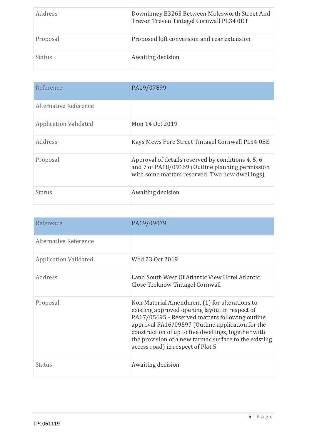| <i>Address</i> | Downinney B3263 Between Molesworth Street And<br>Treven Treven Tintagel Cornwall PL34 0DT |
|----------------|-------------------------------------------------------------------------------------------|
| Proposal       | Proposed loft conversion and rear extension                                               |
| <b>Status</b>  | Awaiting decision                                                                         |

| Reference                    | PA19/07899                                                                                                                                               |
|------------------------------|----------------------------------------------------------------------------------------------------------------------------------------------------------|
| Alternative Reference        |                                                                                                                                                          |
| <b>Application Validated</b> | Mon 14 Oct 2019                                                                                                                                          |
| Address                      | Kays Mews Fore Street Tintagel Cornwall PL34 OEE                                                                                                         |
| Proposal                     | Approval of details reserved by conditions 4, 5, 6<br>and 7 of PA18/09169 (Outline planning permission<br>with some matters reserved: Two new dwellings) |
| Status                       | Awaiting decision                                                                                                                                        |

| Reference                    | PA19/09079                                                                                                                                                                                                                                                                                                                                                  |
|------------------------------|-------------------------------------------------------------------------------------------------------------------------------------------------------------------------------------------------------------------------------------------------------------------------------------------------------------------------------------------------------------|
| Alternative Reference        |                                                                                                                                                                                                                                                                                                                                                             |
| <b>Application Validated</b> | Wed 23 Oct 2019                                                                                                                                                                                                                                                                                                                                             |
| Address                      | Land South West Of Atlantic View Hotel Atlantic<br>Close Treknow Tintagel Cornwall                                                                                                                                                                                                                                                                          |
| Proposal                     | Non Material Amendment (1) for alterations to<br>existing approved opening layout in respect of<br>PA17/05695 - Reserved matters following outline<br>approval PA16/09597 (Outline application for the<br>construction of up to five dwellings, together with<br>the provision of a new tarmac surface to the existing<br>access road) in respect of Plot 5 |
| Status                       | Awaiting decision                                                                                                                                                                                                                                                                                                                                           |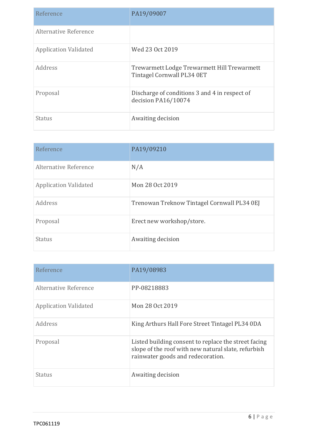| Reference                    | PA19/09007                                                                |
|------------------------------|---------------------------------------------------------------------------|
| Alternative Reference        |                                                                           |
| <b>Application Validated</b> | Wed 23 Oct 2019                                                           |
| Address                      | Trewarmett Lodge Trewarmett Hill Trewarmett<br>Tintagel Cornwall PL34 0ET |
| Proposal                     | Discharge of conditions 3 and 4 in respect of<br>decision PA16/10074      |
| Status                       | Awaiting decision                                                         |

| Reference                    | PA19/09210                                  |
|------------------------------|---------------------------------------------|
| Alternative Reference        | N/A                                         |
| <b>Application Validated</b> | Mon 28 Oct 2019                             |
| Address                      | Trenowan Treknow Tintagel Cornwall PL34 0EJ |
| Proposal                     | Erect new workshop/store.                   |
| <b>Status</b>                | Awaiting decision                           |

| Reference                    | PA19/08983                                                                                                                                       |
|------------------------------|--------------------------------------------------------------------------------------------------------------------------------------------------|
| Alternative Reference        | PP-08218883                                                                                                                                      |
| <b>Application Validated</b> | Mon 28 Oct 2019                                                                                                                                  |
| Address                      | King Arthurs Hall Fore Street Tintagel PL34 0DA                                                                                                  |
| Proposal                     | Listed building consent to replace the street facing<br>slope of the roof with new natural slate, refurbish<br>rainwater goods and redecoration. |
| Status                       | Awaiting decision                                                                                                                                |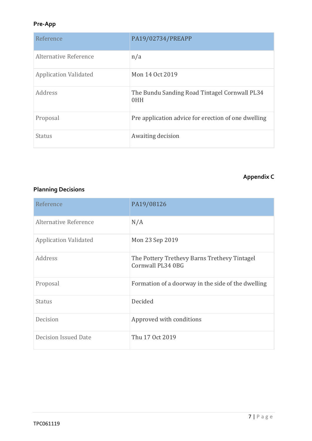# **Pre-App**

| Reference                    | PA19/02734/PREAPP                                    |
|------------------------------|------------------------------------------------------|
| Alternative Reference        | n/a                                                  |
| <b>Application Validated</b> | Mon 14 Oct 2019                                      |
| Address                      | The Bundu Sanding Road Tintagel Cornwall PL34<br>0HH |
| Proposal                     | Pre application advice for erection of one dwelling  |
| Status                       | Awaiting decision                                    |

# **Appendix C**

# **Planning Decisions**

| Reference                    | PA19/08126                                                        |
|------------------------------|-------------------------------------------------------------------|
| Alternative Reference        | N/A                                                               |
| <b>Application Validated</b> | Mon 23 Sep 2019                                                   |
| Address                      | The Pottery Trethevy Barns Trethevy Tintagel<br>Cornwall PL34 0BG |
| Proposal                     | Formation of a doorway in the side of the dwelling                |
| Status                       | Decided                                                           |
| Decision                     | Approved with conditions                                          |
| <b>Decision Issued Date</b>  | Thu 17 Oct 2019                                                   |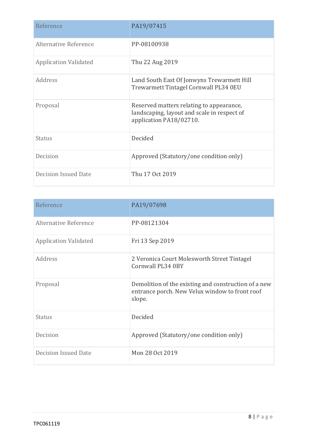| Reference                    | PA19/07415                                                                                                         |
|------------------------------|--------------------------------------------------------------------------------------------------------------------|
| Alternative Reference        | PP-08100938                                                                                                        |
| <b>Application Validated</b> | Thu 22 Aug 2019                                                                                                    |
| Address                      | Land South East Of Jonwyns Trewarmett Hill<br>Trewarmett Tintagel Cornwall PL34 0EU                                |
| Proposal                     | Reserved matters relating to appearance,<br>landscaping, layout and scale in respect of<br>application PA18/02710. |
| Status                       | Decided                                                                                                            |
| Decision                     | Approved (Statutory/one condition only)                                                                            |
| <b>Decision Issued Date</b>  | Thu 17 Oct 2019                                                                                                    |

| Reference                    | PA19/07698                                                                                                       |
|------------------------------|------------------------------------------------------------------------------------------------------------------|
| Alternative Reference        | PP-08121304                                                                                                      |
| <b>Application Validated</b> | Fri 13 Sep 2019                                                                                                  |
| Address                      | 2 Veronica Court Molesworth Street Tintagel<br>Cornwall PL34 0BY                                                 |
| Proposal                     | Demolition of the existing and construction of a new<br>entrance porch. New Velux window to front roof<br>slope. |
| Status                       | Decided                                                                                                          |
| Decision                     | Approved (Statutory/one condition only)                                                                          |
| <b>Decision Issued Date</b>  | Mon 28 Oct 2019                                                                                                  |